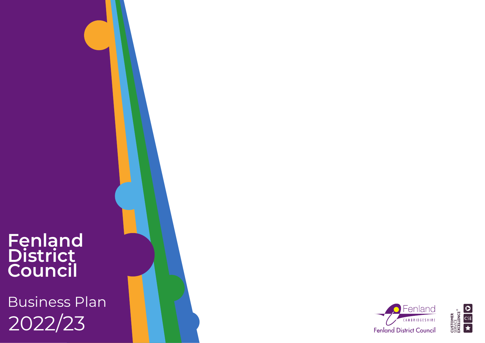# **Fenland District Council**

2022/23 Business Plan



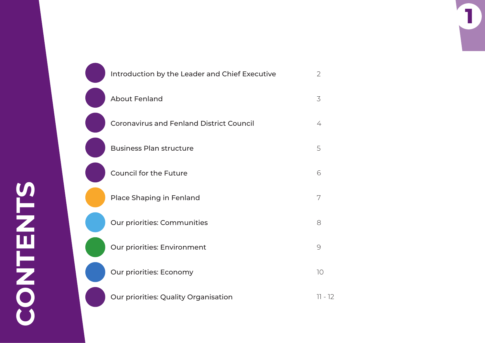O

 $\begin{pmatrix} 1 & 1 \\ 1 & 1 \end{pmatrix}$ 

| Introduction by the Leader and Chief Executive  | $\overline{2}$ |
|-------------------------------------------------|----------------|
| <b>About Fenland</b>                            | $\overline{3}$ |
| <b>Coronavirus and Fenland District Council</b> | 4              |
| <b>Business Plan structure</b>                  | 5              |
| <b>Council for the Future</b>                   | 6              |
| Place Shaping in Fenland                        | 7              |
| Our priorities: Communities                     | 8              |
| Our priorities: Environment                     | 9              |
| Our priorities: Economy                         | 10             |
| Our priorities: Quality Organisation            | $11 - 12$      |

**1**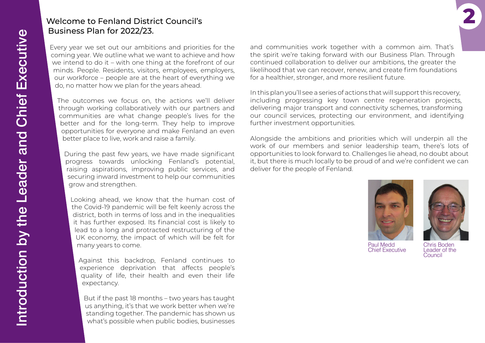# Introduction by the Leader and Chief Executive Introduction by the Leader and Chief Executive

## Welcome to Fenland District Council's Business Plan for 2022/23.

Every year we set out our ambitions and priorities for the coming year. We outline what we want to achieve and how we intend to do it – with one thing at the forefront of our minds. People. Residents, visitors, employees, employers, our workforce – people are at the heart of everything we do, no matter how we plan for the years ahead.

The outcomes we focus on, the actions we'll deliver through working collaboratively with our partners and communities are what change people's lives for the better and for the long-term. They help to improve opportunities for everyone and make Fenland an even better place to live, work and raise a family.

During the past few years, we have made significant progress towards unlocking Fenland's potential, raising aspirations, improving public services, and securing inward investment to help our communities grow and strengthen.

Looking ahead, we know that the human cost of the Covid-19 pandemic will be felt keenly across the district, both in terms of loss and in the inequalities it has further exposed. Its financial cost is likely to lead to a long and protracted restructuring of the UK economy, the impact of which will be felt for many years to come.

Against this backdrop, Fenland continues to experience deprivation that affects people's quality of life, their health and even their life expectancy.

But if the past 18 months – two years has taught us anything, it's that we work better when we're standing together. The pandemic has shown us what's possible when public bodies, businesses

and communities work together with a common aim. That's the spirit we're taking forward with our Business Plan. Through continued collaboration to deliver our ambitions, the greater the likelihood that we can recover, renew, and create firm foundations for a healthier, stronger, and more resilient future.

In this plan you'll see a series of actions that will support this recovery, including progressing key town centre regeneration projects, delivering major transport and connectivity schemes, transforming our council services, protecting our environment, and identifying further investment opportunities.

Alongside the ambitions and priorities which will underpin all the work of our members and senior leadership team, there's lots of opportunities to look forward to. Challenges lie ahead, no doubt about it, but there is much locally to be proud of and we're confident we can deliver for the people of Fenland.



**2**

Paul Medd Chief Executive

Chris Boden Leader of the Council

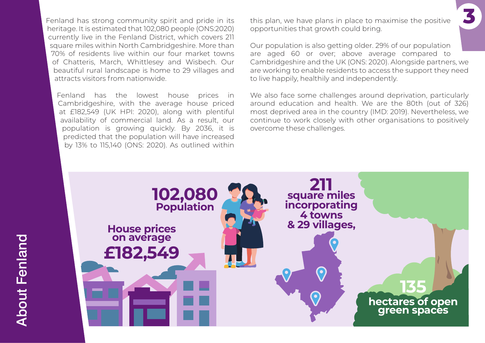Fenland has strong community spirit and pride in its heritage. It is estimated that 102,080 people (ONS:2020) currently live in the Fenland District, which covers 211 square miles within North Cambridgeshire. More than 70% of residents live within our four market towns of Chatteris, March, Whittlesey and Wisbech. Our beautiful rural landscape is home to 29 villages and attracts visitors from nationwide.

Fenland has the lowest house prices in Cambridgeshire, with the average house priced at £182,549 (UK HPI: 2020), along with plentiful availability of commercial land. As a result, our population is growing quickly. By 2036, it is predicted that the population will have increased by 13% to 115,140 (ONS: 2020). As outlined within this plan, we have plans in place to maximise the positive **3** opportunities that growth could bring.

Our population is also getting older. 29% of our population are aged 60 or over; above average compared to Cambridgeshire and the UK (ONS: 2020). Alongside partners, we are working to enable residents to access the support they need to live happily, healthily and independently.

We also face some challenges around deprivation, particularly around education and health. We are the 80th (out of 326) most deprived area in the country (IMD: 2019). Nevertheless, we continue to work closely with other organisations to positively overcome these challenges.

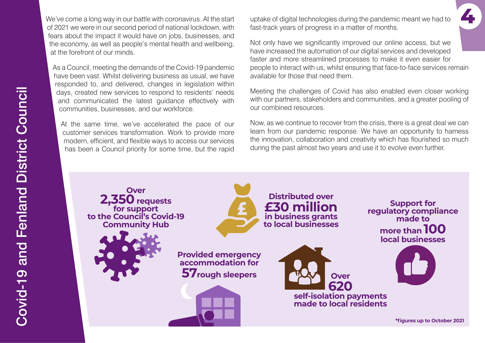We've come a long way in our battle with coronavirus. At the start of 2021 we were in our second period of national lockdown, with fears about the impact it would have on jobs, businesses, and the economy, as well as people's mental health and wellbeing, at the forefront of our minds.

As a Council, meeting the demands of the Covid-19 pandemic have been vast. Whilst delivering business as usual, we have responded to, and delivered, changes in legislation within days, created new services to respond to residents' needs and communicated the latest guidance effectively with communities, businesses, and our workforce.

At the same time, we've accelerated the pace of our customer services transformation. Work to provide more modern, efficient, and flexible ways to access our services has been a Council priority for some time, but the rapid uptake of digital technologies during the pandemic meant we had to fast-track years of progress in a matter of months.

Not only have we significantly improved our online access, but we have increased the automation of our digital services and developed faster and more streamlined processes to make it even easier for people to interact with us, whilst ensuring that face-to-face services remain available for those that need them.

**4**

Meeting the challenges of Covid has also enabled even closer working with our partners, stakeholders and communities, and a greater pooling of our combined resources.

Now, as we continue to recover from the crisis, there is a great deal we can learn from our pandemic response. We have an opportunity to harness the innovation, collaboration and creativity which has flourished so much during the past almost two years and use it to evolve even further.

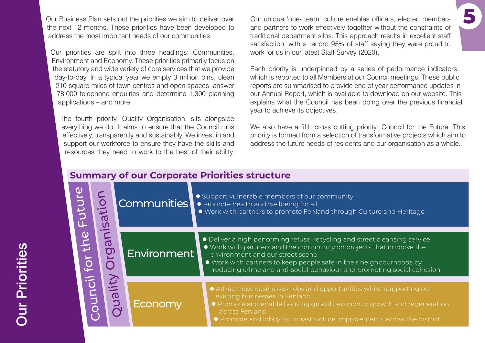Our Business Plan sets out the priorities we aim to deliver over the next 12 months. These priorities have been developed to address the most important needs of our communities.

Our priorities are split into three headings: Communities, Environment and Economy. These priorities primarily focus on the statutory and wide variety of core services that we provide day-to-day. In a typical year we empty 3 million bins, clean 210 square miles of town centres and open spaces, answer 78,000 telephone enquiries and determine 1,300 planning applications – and more!

The fourth priority, Quality Organisation, sits alongside everything we do. It aims to ensure that the Council runs effectively, transparently and sustainably. We invest in and support our workforce to ensure they have the skills and resources they need to work to the best of their ability. Our unique 'one- team' culture enables officers, elected members and partners to work effectively together without the constraints of traditional department silos. This approach results in excellent staff satisfaction, with a record 95% of staff saying they were proud to work for us in our latest Staff Survey (2020).

**5**

Each priority is underpinned by a series of performance indicators, which is reported to all Members at our Council meetings. These public reports are summarised to provide end of year performance updates in our Annual Report, which is available to download on our website. This explains what the Council has been doing over the previous financial year to achieve its objectives.

We also have a fifth cross cutting priority: Council for the Future. This priority is formed from a selection of transformative projects which aim to address the future needs of residents and our organisation as a whole.

# **Summary of our Corporate Priorities structure**

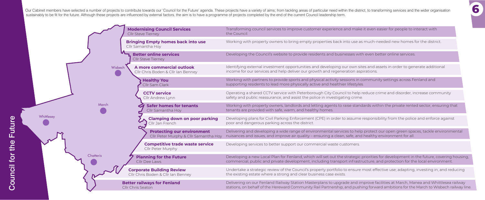**6**

Our Cabinet members have selected a number of projects to contribute towards our 'Council for the Future' agenda. These projects have a variety of aims; from tackling areas of particular need within the district, to transf sustainably to be fit for the future. Although these projects are influenced by external factors, the aim is to have a programme of projects completed by the end of the current Council leadership term.



Working with property owners to bring empty properties back into use as much-needed new homes for the district.

Transforming council services to improve customer experience and make it even easier for people to interact with

Developing the Council's website to provide residents and businesses with even better online services.

Identifying external investment opportunities and developing our own sites and assets in order to generate additional income for our services and help deliver our growth and regeneration aspirations.

Working with partners to provide sports and physical activity sessions in community settings across Fenland and supporting residents to lead more physically active and healthier lifestyles.

Operating a shared CCTV service with Peterborough City Council to help reduce crime and disorder, increase community safety and public reassurance, and assist the police in investigating crime.

Working with property owners, landlords and letting agents to raise standards within the private rented sector, ensuring that

Developing plans for Civil Parking Enforcement (CPE) in order to assume responsibility from the police and enforce against

Delivering and developing a wide range of environmental services to help protect our open green spaces, tackle environmental nuisances and issues, and improve air quality – ensuring a clean, safe, and healthy environment for all.

Developing services to better support our commercial waste customers.

Undertake a strategic review of the Council's property portfolio to ensure most effective use; adapting, investing in, and reducing the existing estate where a strong and clear business case exists.

Developing a new Local Plan for Fenland, which will set out the strategic priorities for development in the future, covering housing, commercial, public and private development, including transport infrastructure, and protection for the local environment.

Delivering on our Fenland Railway Station Masterplans to upgrade and improve facilities at March, Manea and Whittlesea railway stations, on behalf of the Hereward Community Rail Partnership, and pushing forward ambitions for the March to Wisbech railway line.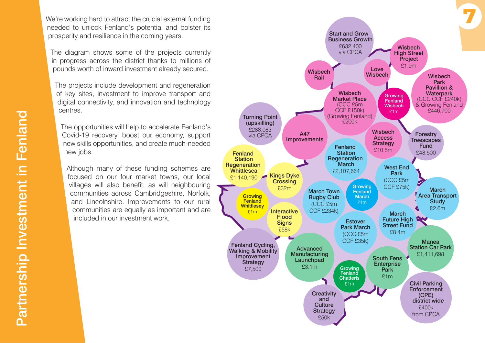We're working hard to attract the crucial external funding needed to unlock Fenland's potential and bolster its prosperity and resilience in the coming years.

The diagram shows some of the projects currently in progress across the district thanks to millions of pounds worth of inward investment already secured.

The projects include development and regeneration of key sites, investment to improve transport and digital connectivity, and innovation and technology centres.

The opportunities will help to accelerate Fenland's Covid-19 recovery, boost our economy, support new skills opportunities, and create much-needed new jobs.

Although many of these funding schemes are focused on our four market towns, our local villages will also benefit, as will neighbouring communities across Cambridgeshire, Norfolk, and Lincolnshire. Improvements to our rural communities are equally as important and are included in our investment work.

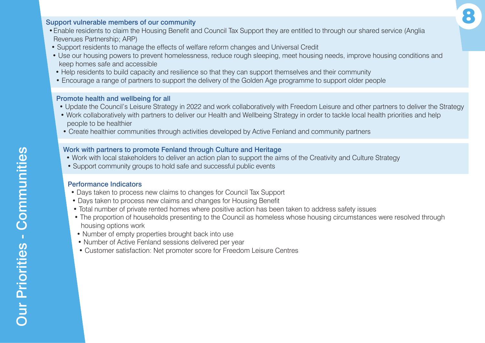### Support vulnerable members of our community

- •Enable residents to claim the Housing Benefit and Council Tax Support they are entitled to through our shared service (Anglia Revenues Partnership; ARP)
- Support residents to manage the effects of welfare reform changes and Universal Credit
- Use our housing powers to prevent homelessness, reduce rough sleeping, meet housing needs, improve housing conditions and keep homes safe and accessible
- Help residents to build capacity and resilience so that they can support themselves and their community
- Encourage a range of partners to support the delivery of the Golden Age programme to support older people

### Promote health and wellbeing for all

- Update the Council's Leisure Strategy in 2022 and work collaboratively with Freedom Leisure and other partners to deliver the Strategy
- Work collaboratively with partners to deliver our Health and Wellbeing Strategy in order to tackle local health priorities and help people to be healthier
- Create healthier communities through activities developed by Active Fenland and community partners

### Work with partners to promote Fenland through Culture and Heritage

- Work with local stakeholders to deliver an action plan to support the aims of the Creativity and Culture Strategy
- Support community groups to hold safe and successful public events

### Performance Indicators

- Days taken to process new claims to changes for Council Tax Support
- Days taken to process new claims and changes for Housing Benefit
- Total number of private rented homes where positive action has been taken to address safety issues
- The proportion of households presenting to the Council as homeless whose housing circumstances were resolved through housing options work
- Number of empty properties brought back into use
- Number of Active Fenland sessions delivered per year
- Customer satisfaction: Net promoter score for Freedom Leisure Centres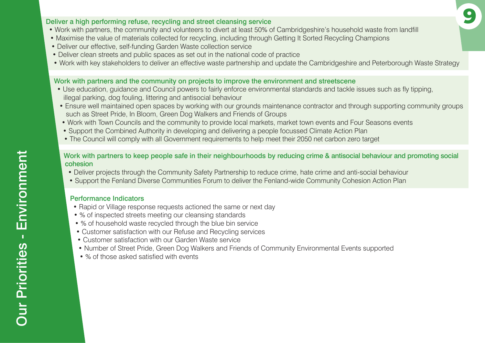### Deliver a high performing refuse, recycling and street cleansing service **9**

- Work with partners, the community and volunteers to divert at least 50% of Cambridgeshire's household waste from landfill
- Maximise the value of materials collected for recycling, including through Getting It Sorted Recycling Champions
- Deliver our effective, self-funding Garden Waste collection service
- Deliver clean streets and public spaces as set out in the national code of practice
- Work with key stakeholders to deliver an effective waste partnership and update the Cambridgeshire and Peterborough Waste Strategy

### Work with partners and the community on projects to improve the environment and streetscene

- Use education, guidance and Council powers to fairly enforce environmental standards and tackle issues such as fly tipping, illegal parking, dog fouling, littering and antisocial behaviour
- Ensure well maintained open spaces by working with our grounds maintenance contractor and through supporting community groups such as Street Pride, In Bloom, Green Dog Walkers and Friends of Groups
- Work with Town Councils and the community to provide local markets, market town events and Four Seasons events
- Support the Combined Authority in developing and delivering a people focussed Climate Action Plan
- The Council will comply with all Government requirements to help meet their 2050 net carbon zero target

### Work with partners to keep people safe in their neighbourhoods by reducing crime & antisocial behaviour and promoting social cohesion

- Deliver projects through the Community Safety Partnership to reduce crime, hate crime and anti-social behaviour
- Support the Fenland Diverse Communities Forum to deliver the Fenland-wide Community Cohesion Action Plan

### Performance Indicators

- Rapid or Village response requests actioned the same or next day
- % of inspected streets meeting our cleansing standards
- % of household waste recycled through the blue bin service
- Customer satisfaction with our Refuse and Recycling services
- Customer satisfaction with our Garden Waste service
- Number of Street Pride, Green Dog Walkers and Friends of Community Environmental Events supported
- % of those asked satisfied with events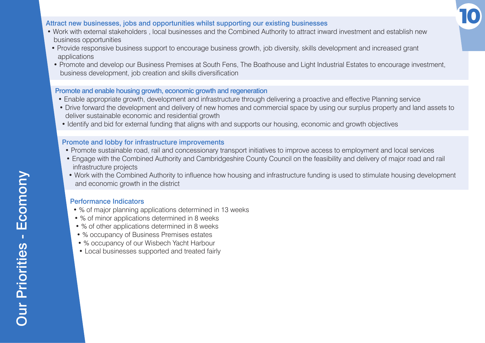

### Attract new businesses, jobs and opportunities whilst supporting our existing businesses

- Work with external stakeholders , local businesses and the Combined Authority to attract inward investment and establish new business opportunities
- Provide responsive business support to encourage business growth, job diversity, skills development and increased grant applications
- Promote and develop our Business Premises at South Fens, The Boathouse and Light Industrial Estates to encourage investment, business development, job creation and skills diversification

### Promote and enable housing growth, economic growth and regeneration

- Enable appropriate growth, development and infrastructure through delivering a proactive and effective Planning service
- Drive forward the development and delivery of new homes and commercial space by using our surplus property and land assets to deliver sustainable economic and residential growth
- Identify and bid for external funding that aligns with and supports our housing, economic and growth objectives

### Promote and lobby for infrastructure improvements

- Promote sustainable road, rail and concessionary transport initiatives to improve access to employment and local services
- Engage with the Combined Authority and Cambridgeshire County Council on the feasibility and delivery of major road and rail infrastructure projects
- Work with the Combined Authority to influence how housing and infrastructure funding is used to stimulate housing development and economic growth in the district

### Performance Indicators

- % of major planning applications determined in 13 weeks
- % of minor applications determined in 8 weeks
- % of other applications determined in 8 weeks
- % occupancy of Business Premises estates
- % occupancy of our Wisbech Yacht Harbour
- Local businesses supported and treated fairly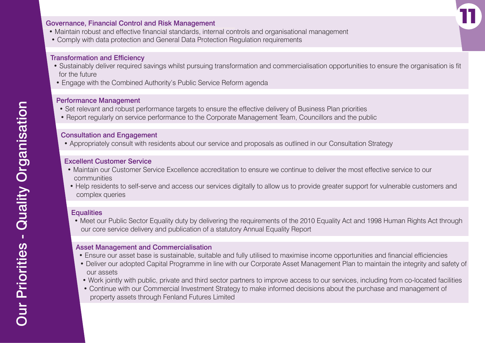### Governance, Financial Control and Risk Management

- Maintain robust and effective financial standards, internal controls and organisational management
- Comply with data protection and General Data Protection Regulation requirements

### Transformation and Efficiency

 • Sustainably deliver required savings whilst pursuing transformation and commercialisation opportunities to ensure the organisation is fit for the future

**11**

• Engage with the Combined Authority's Public Service Reform agenda

### Performance Management

- Set relevant and robust performance targets to ensure the effective delivery of Business Plan priorities
- Report regularly on service performance to the Corporate Management Team, Councillors and the public

### Consultation and Engagement

• Appropriately consult with residents about our service and proposals as outlined in our Consultation Strategy

### Excellent Customer Service

- Maintain our Customer Service Excellence accreditation to ensure we continue to deliver the most effective service to our communities
- Help residents to self-serve and access our services digitally to allow us to provide greater support for vulnerable customers and complex queries

### **Equalities**

 • Meet our Public Sector Equality duty by delivering the requirements of the 2010 Equality Act and 1998 Human Rights Act through our core service delivery and publication of a statutory Annual Equality Report

### Asset Management and Commercialisation

- Ensure our asset base is sustainable, suitable and fully utilised to maximise income opportunities and financial efficiencies
- Deliver our adopted Capital Programme in line with our Corporate Asset Management Plan to maintain the integrity and safety of our assets
- Work jointly with public, private and third sector partners to improve access to our services, including from co-located facilities
- Continue with our Commercial Investment Strategy to make informed decisions about the purchase and management of property assets through Fenland Futures Limited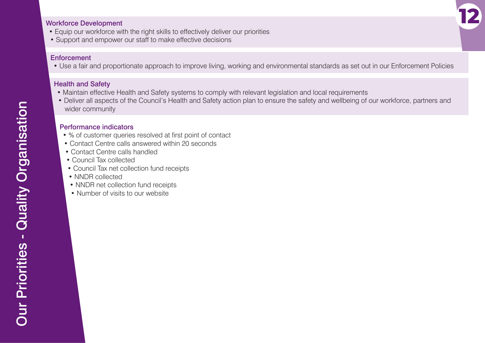### Workforce Development

- Equip our workforce with the right skills to effectively deliver our priorities
- Support and empower our staff to make effective decisions

### **Enforcement**

• Use a fair and proportionate approach to improve living, working and environmental standards as set out in our Enforcement Policies

**12**

### Health and Safety

- Maintain effective Health and Safety systems to comply with relevant legislation and local requirements
- Deliver all aspects of the Council's Health and Safety action plan to ensure the safety and wellbeing of our workforce, partners and wider community

### Performance indicators

- % of customer queries resolved at first point of contact
- Contact Centre calls answered within 20 seconds
- Contact Centre calls handled
- Council Tax collected
- Council Tax net collection fund receipts
- NNDR collected
- NNDR net collection fund receipts
- Number of visits to our website